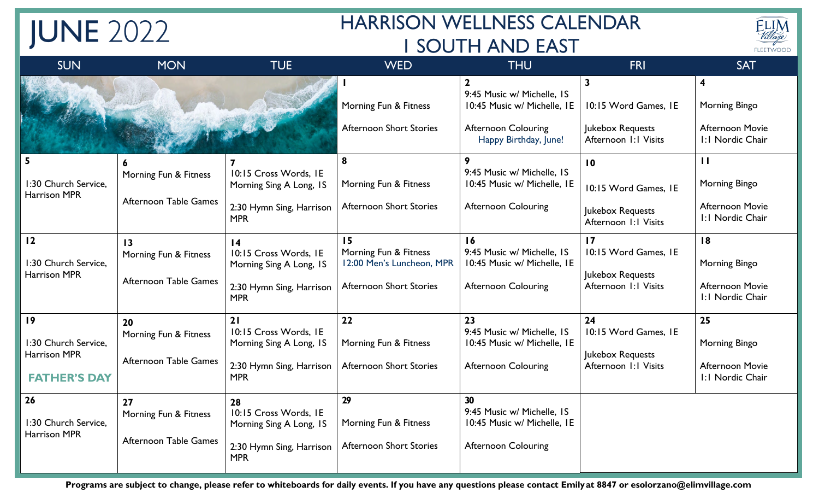## **HARRISON WELLNESS CALENDAR I SOUTH AND EAST**



| <b>SUN</b>                                                        | <b>MON</b>                                                        | <b>TUE</b>                                                                                                    | <b>WED</b>                                                                                 | <b>THU</b>                                                                                                       | FRI                                                                                  | <b>SAT</b>                                                                              |
|-------------------------------------------------------------------|-------------------------------------------------------------------|---------------------------------------------------------------------------------------------------------------|--------------------------------------------------------------------------------------------|------------------------------------------------------------------------------------------------------------------|--------------------------------------------------------------------------------------|-----------------------------------------------------------------------------------------|
|                                                                   |                                                                   |                                                                                                               | Morning Fun & Fitness<br><b>Afternoon Short Stories</b>                                    | 9:45 Music w/ Michelle, IS<br>10:45 Music w/ Michelle, IE<br><b>Afternoon Colouring</b><br>Happy Birthday, June! | $\mathbf{3}$<br>10:15 Word Games, IE<br>Jukebox Requests<br>Afternoon I: I Visits    | $\overline{\mathbf{4}}$<br>Morning Bingo<br><b>Afternoon Movie</b><br>I: I Nordic Chair |
| 1:30 Church Service,<br><b>Harrison MPR</b>                       | Morning Fun & Fitness<br>Afternoon Table Games                    | 10:15 Cross Words, IE<br>Morning Sing A Long, IS<br>2:30 Hymn Sing, Harrison<br><b>MPR</b>                    | 8<br>Morning Fun & Fitness<br><b>Afternoon Short Stories</b>                               | 9:45 Music w/ Michelle, IS<br>10:45 Music w/ Michelle, IE<br><b>Afternoon Colouring</b>                          | 10<br>10:15 Word Games, IE<br>Jukebox Requests<br>Afternoon I: I Visits              | $\mathbf{H}$<br>Morning Bingo<br><b>Afternoon Movie</b><br>I: I Nordic Chair            |
| 12<br>1:30 Church Service,<br><b>Harrison MPR</b>                 | $\overline{13}$<br>Morning Fun & Fitness<br>Afternoon Table Games | $\overline{14}$<br>10:15 Cross Words, IE<br>Morning Sing A Long, IS<br>2:30 Hymn Sing, Harrison<br><b>MPR</b> | 15<br>Morning Fun & Fitness<br>12:00 Men's Luncheon, MPR<br><b>Afternoon Short Stories</b> | 16<br>9:45 Music w/ Michelle, IS<br>10:45 Music w/ Michelle, IE<br><b>Afternoon Colouring</b>                    | $\overline{17}$<br>10:15 Word Games, IE<br>Jukebox Requests<br>Afternoon I: I Visits | 18<br>Morning Bingo<br><b>Afternoon Movie</b><br>I: I Nordic Chair                      |
| 19<br>1:30 Church Service.<br>Harrison MPR<br><b>FATHER'S DAY</b> | 20<br>Morning Fun & Fitness<br>Afternoon Table Games              | 21<br>10:15 Cross Words, IE<br>Morning Sing A Long, IS<br>2:30 Hymn Sing, Harrison<br><b>MPR</b>              | 22<br>Morning Fun & Fitness<br><b>Afternoon Short Stories</b>                              | 23<br>9:45 Music w/ Michelle, IS<br>10:45 Music w/ Michelle, IE<br><b>Afternoon Colouring</b>                    | 24<br>10:15 Word Games, IE<br>Jukebox Requests<br>Afternoon I: I Visits              | 25<br>Morning Bingo<br><b>Afternoon Movie</b><br>I: I Nordic Chair                      |
| 26<br>1:30 Church Service,<br><b>Harrison MPR</b>                 | 27<br>Morning Fun & Fitness<br>Afternoon Table Games              | 28<br>10:15 Cross Words, IE<br>Morning Sing A Long, IS<br>2:30 Hymn Sing, Harrison<br><b>MPR</b>              | 29<br>Morning Fun & Fitness<br><b>Afternoon Short Stories</b>                              | 30<br>9:45 Music w/ Michelle, IS<br>10:45 Music w/ Michelle, IE<br><b>Afternoon Colouring</b>                    |                                                                                      |                                                                                         |

**JUNE 2022** 

Programs are subject to change, please refer to whiteboards for daily events. If you have any questions please contact Emily at 8847 or esolorzano@elimvillage.com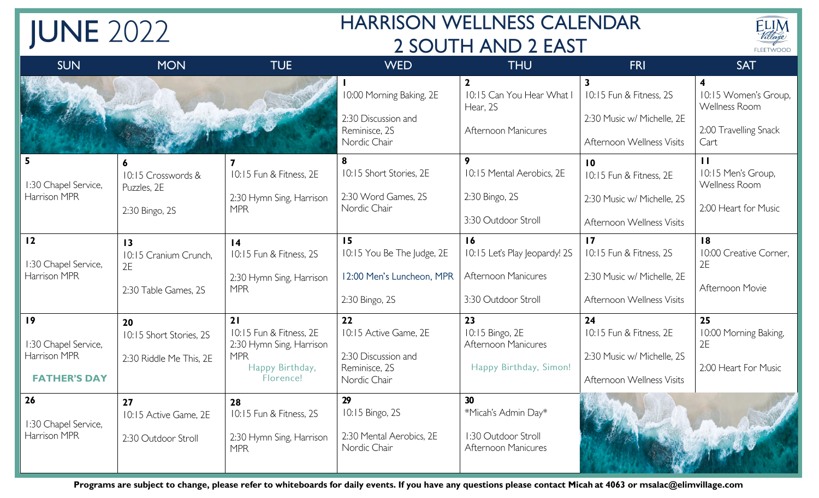## **HARRISON WELLNESS CALENDAR** 2 SOUTH AND 2 EAST



| <b>SUN</b>                                                        | <b>MON</b>                                                             | <b>TUE</b>                                                                                              | <b>WED</b>                                                                          | <b>THU</b>                                                                          | FRI                                                                                                   | <b>SAT</b>                                                                                        |
|-------------------------------------------------------------------|------------------------------------------------------------------------|---------------------------------------------------------------------------------------------------------|-------------------------------------------------------------------------------------|-------------------------------------------------------------------------------------|-------------------------------------------------------------------------------------------------------|---------------------------------------------------------------------------------------------------|
|                                                                   |                                                                        |                                                                                                         | 10:00 Morning Baking, 2E<br>2:30 Discussion and<br>Reminisce, 2S<br>Nordic Chair    | $\mathbf{2}$<br>10:15 Can You Hear What I<br>Hear, 2S<br><b>Afternoon Manicures</b> | 10:15 Fun & Fitness, 2S<br>2:30 Music w/ Michelle, 2E<br>Afternoon Wellness Visits                    | $\overline{\mathbf{4}}$<br>10:15 Women's Group,<br>Wellness Room<br>2:00 Travelling Snack<br>Cart |
| 1:30 Chapel Service,<br>Harrison MPR                              | 6<br>10:15 Crosswords &<br>Puzzles, 2E<br>2.30 Bingo, 2S               | 10:15 Fun & Fitness, 2E<br>2:30 Hymn Sing, Harrison<br><b>MPR</b>                                       | 8<br>10:15 Short Stories, 2E<br>2:30 Word Games, 2S<br>Nordic Chair                 | 9<br>10:15 Mental Aerobics, 2E<br>2.30 Bingo, 2S<br>3:30 Outdoor Stroll             | $\overline{10}$<br>10:15 Fun & Fitness, 2E<br>2:30 Music w/ Michelle, 2S<br>Afternoon Wellness Visits | $\mathbf{H}$<br>10:15 Men's Group,<br>Wellness Room<br>2:00 Heart for Music                       |
| 12<br>1:30 Chapel Service,<br>Harrison MPR                        | $\overline{13}$<br>10:15 Cranium Crunch,<br>2E<br>2:30 Table Games, 2S | $\overline{14}$<br>10:15 Fun & Fitness, 2S<br>2:30 Hymn Sing, Harrison<br><b>MPR</b>                    | 15<br>10:15 You Be The Judge, 2E<br>12:00 Men's Luncheon, MPR<br>2.30 Bingo, 2S     | 16<br>10:15 Let's Play Jeopardy! 2S<br>Afternoon Manicures<br>3:30 Outdoor Stroll   | $\overline{17}$<br>10:15 Fun & Fitness, 2S<br>2:30 Music w/ Michelle, 2E<br>Afternoon Wellness Visits | 18<br>10:00 Creative Corner,<br>2E<br>Afternoon Movie                                             |
| 19<br>1:30 Chapel Service,<br>Harrison MPR<br><b>FATHER'S DAY</b> | 20<br>10:15 Short Stories, 2S<br>2:30 Riddle Me This, 2E               | 21<br>10:15 Fun & Fitness, 2E<br>2:30 Hymn Sing, Harrison<br><b>MPR</b><br>Happy Birthday,<br>Florence! | 22<br>10:15 Active Game, 2E<br>2.30 Discussion and<br>Reminisce, 2S<br>Nordic Chair | 23<br>10:15 Bingo, 2E<br>Afternoon Manicures<br>Happy Birthday, Simon!              | 24<br>10:15 Fun & Fitness, 2E<br>2:30 Music w/ Michelle, 2S<br>Afternoon Wellness Visits              | 25<br>10:00 Morning Baking,<br>2E<br>2:00 Heart For Music                                         |
| 26<br>1:30 Chapel Service,<br>Harrison MPR                        | 27<br>10:15 Active Game, 2E<br>2:30 Outdoor Stroll                     | 28<br>10:15 Fun & Fitness, 2S<br>2:30 Hymn Sing, Harrison<br><b>MPR</b>                                 | 29<br>10:15 Bingo, 2S<br>2:30 Mental Aerobics, 2E<br>Nordic Chair                   | 30<br>*Micah's Admin Day*<br>1:30 Outdoor Stroll<br><b>Afternoon Manicures</b>      |                                                                                                       |                                                                                                   |

**JUNE 2022** 

Programs are subject to change, please refer to whiteboards for daily events. If you have any questions please contact Micah at 4063 or msalac@elimvillage.com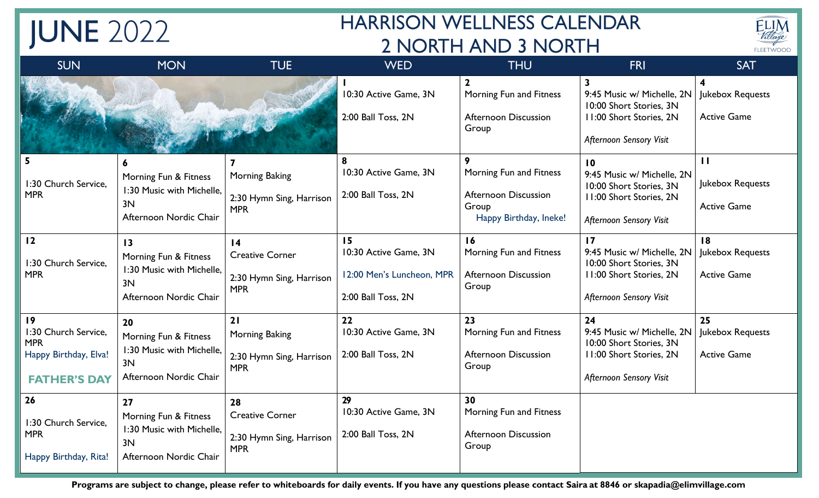## **HARRISON WELLNESS CALENDAR** 2 NORTH AND 3 NORTH



| <b>SUN</b>                                                                               | <b>MON</b>                                                                                            | <b>TUE</b>                                                                          | <b>WED</b>                                                                     | <b>THU</b>                                                                                     | FRI                                                                                                                                          | <b>SAT</b>                                                        |
|------------------------------------------------------------------------------------------|-------------------------------------------------------------------------------------------------------|-------------------------------------------------------------------------------------|--------------------------------------------------------------------------------|------------------------------------------------------------------------------------------------|----------------------------------------------------------------------------------------------------------------------------------------------|-------------------------------------------------------------------|
|                                                                                          |                                                                                                       |                                                                                     | 10:30 Active Game, 3N<br>2:00 Ball Toss, 2N                                    | Morning Fun and Fitness<br><b>Afternoon Discussion</b><br>Group                                | $\mathbf{3}$<br>9:45 Music w/ Michelle, 2N<br>10:00 Short Stories, 3N<br><b>II:00 Short Stories, 2N</b><br><b>Afternoon Sensory Visit</b>    | $\overline{\mathbf{4}}$<br>Jukebox Requests<br><b>Active Game</b> |
| 5<br>1:30 Church Service,<br><b>MPR</b>                                                  | 6<br>Morning Fun & Fitness<br>1:30 Music with Michelle,<br>3N<br>Afternoon Nordic Chair               | Morning Baking<br>2:30 Hymn Sing, Harrison<br><b>MPR</b>                            | 8<br>10:30 Active Game, 3N<br>2:00 Ball Toss, 2N                               | 9<br>Morning Fun and Fitness<br><b>Afternoon Discussion</b><br>Group<br>Happy Birthday, Ineke! | 10<br>9:45 Music w/ Michelle, 2N<br>10:00 Short Stories, 3N<br>11:00 Short Stories, 2N<br><b>Afternoon Sensory Visit</b>                     | $\mathbf{H}$<br>Jukebox Requests<br><b>Active Game</b>            |
| 12<br>1:30 Church Service,<br><b>MPR</b>                                                 | $\overline{13}$<br>Morning Fun & Fitness<br>1:30 Music with Michelle,<br>3N<br>Afternoon Nordic Chair | $\overline{14}$<br><b>Creative Corner</b><br>2:30 Hymn Sing, Harrison<br><b>MPR</b> | 15<br>10:30 Active Game, 3N<br>12:00 Men's Luncheon, MPR<br>2:00 Ball Toss, 2N | 16<br>Morning Fun and Fitness<br><b>Afternoon Discussion</b><br>Group                          | $\overline{17}$<br>9:45 Music w/ Michelle, 2N<br>10:00 Short Stories, 3N<br><b>II:00 Short Stories, 2N</b><br><b>Afternoon Sensory Visit</b> | 18<br>Jukebox Requests<br><b>Active Game</b>                      |
| 19<br>1:30 Church Service,<br><b>MPR</b><br>Happy Birthday, Elva!<br><b>FATHER'S DAY</b> | 20<br>Morning Fun & Fitness<br>1:30 Music with Michelle,<br>3N<br>Afternoon Nordic Chair              | 21<br>Morning Baking<br>2:30 Hymn Sing, Harrison<br><b>MPR</b>                      | 22<br>10:30 Active Game, 3N<br>2:00 Ball Toss, 2N                              | 23<br>Morning Fun and Fitness<br><b>Afternoon Discussion</b><br>Group                          | 24<br>9:45 Music w/ Michelle, 2N<br>10:00 Short Stories, 3N<br><b>II:00 Short Stories, 2N</b><br><b>Afternoon Sensory Visit</b>              | 25<br>Jukebox Requests<br><b>Active Game</b>                      |
| 26<br>1:30 Church Service,<br><b>MPR</b><br>Happy Birthday, Rita!                        | 27<br>Morning Fun & Fitness<br>1:30 Music with Michelle,<br>3N<br>Afternoon Nordic Chair              | 28<br><b>Creative Corner</b><br>2:30 Hymn Sing, Harrison<br><b>MPR</b>              | 29<br>10:30 Active Game, 3N<br>2:00 Ball Toss, 2N                              | 30<br>Morning Fun and Fitness<br><b>Afternoon Discussion</b><br>Group                          |                                                                                                                                              |                                                                   |

**JUNE 2022** 

Programs are subject to change, please refer to whiteboards for daily events. If you have any questions please contact Saira at 8846 or skapadia@elimvillage.com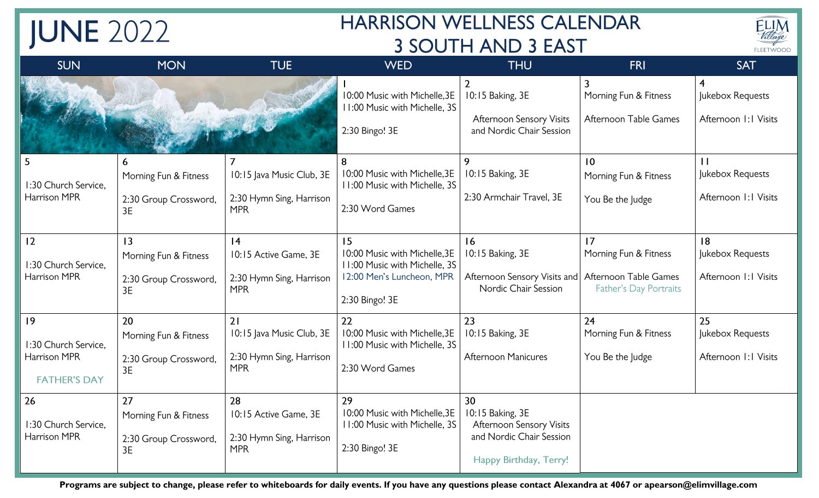## **HARRISON WELLNESS CALENDAR 3 SOUTH AND 3 EAST**



| <b>SUN</b>                                 | <b>MON</b>                  | <b>TUE</b>                             | <b>WED</b>                                                                       | <b>THU</b>                                                                 | <b>FRI</b>                                     | <b>SAT</b>                                                           |
|--------------------------------------------|-----------------------------|----------------------------------------|----------------------------------------------------------------------------------|----------------------------------------------------------------------------|------------------------------------------------|----------------------------------------------------------------------|
|                                            |                             |                                        | 10:00 Music with Michelle, 3E<br>11:00 Music with Michelle, 3S<br>2:30 Bingo! 3E | 10:15 Baking, 3E<br>Afternoon Sensory Visits<br>and Nordic Chair Session   | Morning Fun & Fitness<br>Afternoon Table Games | $\overline{\mathbf{r}}$<br>Jukebox Requests<br>Afternoon I: I Visits |
| 5                                          | 6                           |                                        | 8                                                                                | 9                                                                          | 10                                             | $\mathbf{1}$                                                         |
| 1:30 Church Service.                       | Morning Fun & Fitness       | 10:15 Java Music Club, 3E              | 10:00 Music with Michelle, 3E<br>11:00 Music with Michelle, 3S                   | 10:15 Baking, 3E                                                           | Morning Fun & Fitness                          | Jukebox Requests                                                     |
| <b>Harrison MPR</b>                        | 2:30 Group Crossword,<br>3E | 2:30 Hymn Sing, Harrison<br><b>MPR</b> | 2:30 Word Games                                                                  | 2:30 Armchair Travel, 3E                                                   | You Be the Judge                               | Afternoon 1:1 Visits                                                 |
| 12                                         | $\overline{13}$             | 4                                      | 15                                                                               | 16                                                                         | 17                                             | 8                                                                    |
| 1:30 Church Service,                       | Morning Fun & Fitness       | 10:15 Active Game, 3E                  | 10:00 Music with Michelle, 3E<br>11:00 Music with Michelle, 3S                   | 10:15 Baking, 3E                                                           | Morning Fun & Fitness                          | Jukebox Requests                                                     |
| Harrison MPR                               | 2:30 Group Crossword,<br>3E | 2:30 Hymn Sing, Harrison<br><b>MPR</b> | 12:00 Men's Luncheon, MPR<br>2:30 Bingo! 3E                                      | Afternoon Sensory Visits and Afternoon Table Games<br>Nordic Chair Session | Father's Day Portraits                         | Afternoon I: I Visits                                                |
| 9                                          | 20                          | 21                                     | 22                                                                               | 23                                                                         | 24                                             | 25                                                                   |
| 1:30 Church Service.                       | Morning Fun & Fitness       | 10:15 Java Music Club, 3E              | 10:00 Music with Michelle, 3E<br>11:00 Music with Michelle, 3S                   | 10:15 Baking, 3E                                                           | Morning Fun & Fitness                          | Jukebox Requests                                                     |
| <b>Harrison MPR</b><br><b>FATHER'S DAY</b> | 2:30 Group Crossword,<br>3E | 2:30 Hymn Sing, Harrison<br><b>MPR</b> | 2:30 Word Games                                                                  | <b>Afternoon Manicures</b>                                                 | You Be the Judge                               | Afternoon 1:1 Visits                                                 |
| 26                                         | 27                          | 28                                     | 29                                                                               | 30                                                                         |                                                |                                                                      |
| 1:30 Church Service,                       | Morning Fun & Fitness       | 10:15 Active Game, 3E                  | 10:00 Music with Michelle, 3E<br>11:00 Music with Michelle, 3S                   | 10:15 Baking, 3E<br><b>Afternoon Sensory Visits</b>                        |                                                |                                                                      |
| <b>Harrison MPR</b>                        | 2:30 Group Crossword,<br>3E | 2:30 Hymn Sing, Harrison<br><b>MPR</b> | 2:30 Bingo! 3E                                                                   | and Nordic Chair Session<br>Happy Birthday, Terry!                         |                                                |                                                                      |

**JUNE 2022** 

Programs are subject to change, please refer to whiteboards for daily events. If you have any questions please contact Alexandra at 4067 or apearson@elimvillage.com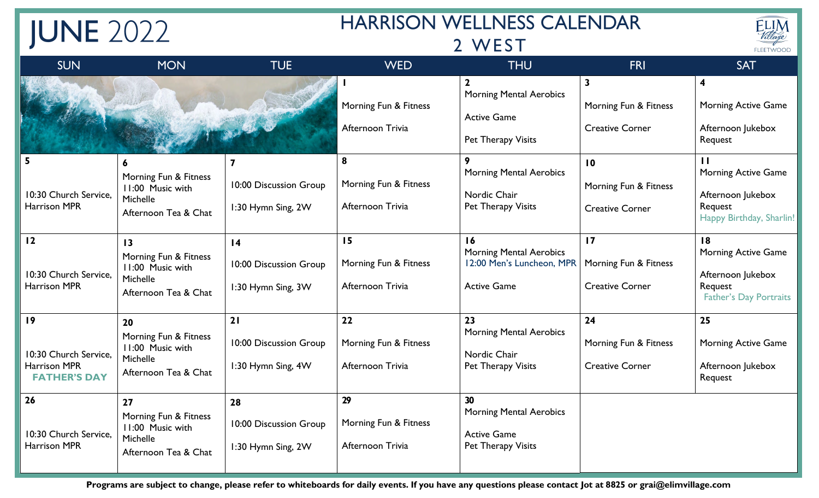| <b>JUNE 2022</b>                                                   |                                                                                                  |                                                                 | <b>HARRISON WELLNESS CALENDAR</b>               |                                                                                               |                                                                            | ELIM<br>Village                                                                                        |
|--------------------------------------------------------------------|--------------------------------------------------------------------------------------------------|-----------------------------------------------------------------|-------------------------------------------------|-----------------------------------------------------------------------------------------------|----------------------------------------------------------------------------|--------------------------------------------------------------------------------------------------------|
|                                                                    |                                                                                                  |                                                                 |                                                 | FLEETWOOD                                                                                     |                                                                            |                                                                                                        |
| <b>SUN</b>                                                         | <b>MON</b>                                                                                       | <b>TUE</b>                                                      | <b>WED</b>                                      | <b>THU</b>                                                                                    | <b>FRI</b>                                                                 | <b>SAT</b>                                                                                             |
|                                                                    |                                                                                                  |                                                                 | Morning Fun & Fitness<br>Afternoon Trivia       | <b>Morning Mental Aerobics</b><br><b>Active Game</b><br>Pet Therapy Visits                    | $\overline{\mathbf{3}}$<br>Morning Fun & Fitness<br><b>Creative Corner</b> | 4<br><b>Morning Active Game</b><br>Afternoon Jukebox<br>Request                                        |
| 5<br>10:30 Church Service,<br><b>Harrison MPR</b>                  | 6<br>Morning Fun & Fitness<br>11:00 Music with<br>Michelle<br>Afternoon Tea & Chat               | 7<br>10:00 Discussion Group<br>1:30 Hymn Sing, 2W               | 8<br>Morning Fun & Fitness<br>Afternoon Trivia  | 9<br><b>Morning Mental Aerobics</b><br>Nordic Chair<br>Pet Therapy Visits                     | 10<br>Morning Fun & Fitness<br><b>Creative Corner</b>                      | $\mathbf{H}$<br><b>Morning Active Game</b><br>Afternoon Jukebox<br>Request<br>Happy Birthday, Sharlin! |
| 12<br>10:30 Church Service,<br>Harrison MPR                        | $\overline{13}$<br>Morning Fun & Fitness<br>11:00 Music with<br>Michelle<br>Afternoon Tea & Chat | $\overline{14}$<br>10:00 Discussion Group<br>1:30 Hymn Sing, 3W | 15<br>Morning Fun & Fitness<br>Afternoon Trivia | 16<br><b>Morning Mental Aerobics</b><br>12:00 Men's Luncheon, MPR<br><b>Active Game</b>       | 17<br>Morning Fun & Fitness<br><b>Creative Corner</b>                      | 18<br><b>Morning Active Game</b><br>Afternoon Jukebox<br>Request<br><b>Father's Day Portraits</b>      |
| 19<br>10:30 Church Service,<br>Harrison MPR<br><b>FATHER'S DAY</b> | 20<br>Morning Fun & Fitness<br>11:00 Music with<br>Michelle<br>Afternoon Tea & Chat              | 21<br>10:00 Discussion Group<br>1:30 Hymn Sing, 4W              | 22<br>Morning Fun & Fitness<br>Afternoon Trivia | 23<br><b>Morning Mental Aerobics</b><br>Nordic Chair<br>Pet Therapy Visits                    | 24<br>Morning Fun & Fitness<br><b>Creative Corner</b>                      | 25<br><b>Morning Active Game</b><br>Afternoon Jukebox<br>Request                                       |
| 26<br>10:30 Church Service,<br><b>Harrison MPR</b>                 | 27<br>Morning Fun & Fitness<br>11:00 Music with<br>Michelle<br>Afternoon Tea & Chat              | 28<br>10:00 Discussion Group<br>1:30 Hymn Sing, 2W              | 29<br>Morning Fun & Fitness<br>Afternoon Trivia | 30 <sup>°</sup><br><b>Morning Mental Aerobics</b><br><b>Active Game</b><br>Pet Therapy Visits |                                                                            |                                                                                                        |

Programs are subject to change, please refer to whiteboards for daily events. If you have any questions please contact Jot at 8825 or grai@elimvillage.com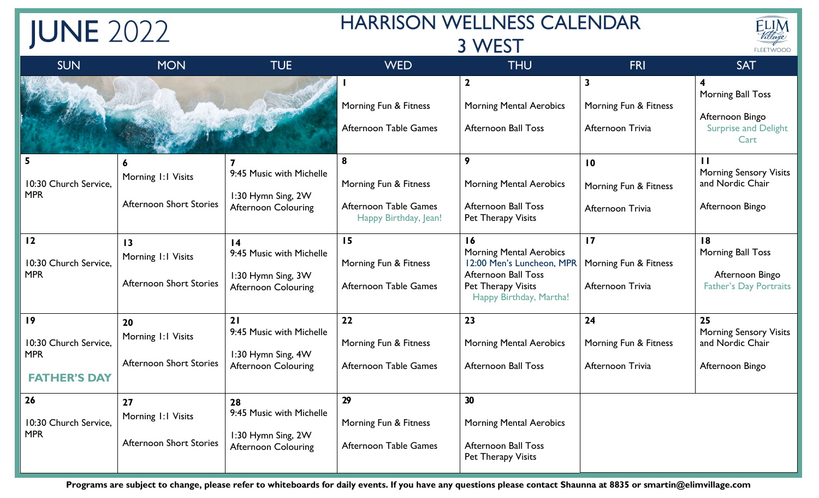| <b>JUNE 2022</b>                                                 |                                                                         |                                                                                                 | <b>HARRISON WELLNESS CALENDAR</b><br>3 WEST                                  |                                                                                                                                                  |                                                                      | ELIM<br>Village<br>FLEETWOOD                                                         |
|------------------------------------------------------------------|-------------------------------------------------------------------------|-------------------------------------------------------------------------------------------------|------------------------------------------------------------------------------|--------------------------------------------------------------------------------------------------------------------------------------------------|----------------------------------------------------------------------|--------------------------------------------------------------------------------------|
| <b>SUN</b>                                                       | <b>MON</b>                                                              | <b>TUE</b>                                                                                      | <b>WED</b>                                                                   | <b>THU</b>                                                                                                                                       | <b>FRI</b>                                                           | <b>SAT</b>                                                                           |
|                                                                  |                                                                         |                                                                                                 | Morning Fun & Fitness<br><b>Afternoon Table Games</b>                        | $\mathbf{2}$<br><b>Morning Mental Aerobics</b><br><b>Afternoon Ball Toss</b>                                                                     | $\overline{\mathbf{3}}$<br>Morning Fun & Fitness<br>Afternoon Trivia | Morning Ball Toss<br>Afternoon Bingo<br><b>Surprise and Delight</b><br>Cart          |
| 10:30 Church Service.<br><b>MPR</b>                              | 6<br>Morning 1:1 Visits<br><b>Afternoon Short Stories</b>               | 9:45 Music with Michelle<br>1:30 Hymn Sing, 2W<br><b>Afternoon Colouring</b>                    | 8<br>Morning Fun & Fitness<br>Afternoon Table Games<br>Happy Birthday, Jean! | 9<br><b>Morning Mental Aerobics</b><br><b>Afternoon Ball Toss</b><br>Pet Therapy Visits                                                          | $\overline{10}$<br>Morning Fun & Fitness<br>Afternoon Trivia         | $\mathbf{H}$<br><b>Morning Sensory Visits</b><br>and Nordic Chair<br>Afternoon Bingo |
| 12<br>10:30 Church Service,<br><b>MPR</b>                        | $\overline{13}$<br>Morning 1:1 Visits<br><b>Afternoon Short Stories</b> | $\overline{14}$<br>9:45 Music with Michelle<br>1:30 Hymn Sing, 3W<br><b>Afternoon Colouring</b> | 15<br>Morning Fun & Fitness<br>Afternoon Table Games                         | 16<br><b>Morning Mental Aerobics</b><br>12:00 Men's Luncheon, MPR<br><b>Afternoon Ball Toss</b><br>Pet Therapy Visits<br>Happy Birthday, Martha! | 17<br>Morning Fun & Fitness<br>Afternoon Trivia                      | 18<br>Morning Ball Toss<br>Afternoon Bingo<br><b>Father's Day Portraits</b>          |
| 19<br>10:30 Church Service,<br><b>MPR</b><br><b>FATHER'S DAY</b> | 20<br>Morning 1:1 Visits<br><b>Afternoon Short Stories</b>              | 21<br>9:45 Music with Michelle<br>1:30 Hymn Sing, 4W<br><b>Afternoon Colouring</b>              | 22<br>Morning Fun & Fitness<br>Afternoon Table Games                         | 23<br><b>Morning Mental Aerobics</b><br><b>Afternoon Ball Toss</b>                                                                               | 24<br>Morning Fun & Fitness<br>Afternoon Trivia                      | 25<br><b>Morning Sensory Visits</b><br>and Nordic Chair<br>Afternoon Bingo           |
| 26<br>10:30 Church Service,<br><b>MPR</b>                        | 27<br>Morning 1:1 Visits<br><b>Afternoon Short Stories</b>              | 28<br>9:45 Music with Michelle<br>1:30 Hymn Sing, 2W<br><b>Afternoon Colouring</b>              | 29<br>Morning Fun & Fitness<br>Afternoon Table Games                         | 30<br><b>Morning Mental Aerobics</b><br><b>Afternoon Ball Toss</b><br>Pet Therapy Visits                                                         |                                                                      |                                                                                      |

Programs are subject to change, please refer to whiteboards for daily events. If you have any questions please contact Shaunna at 8835 or smartin@elimvillage.com